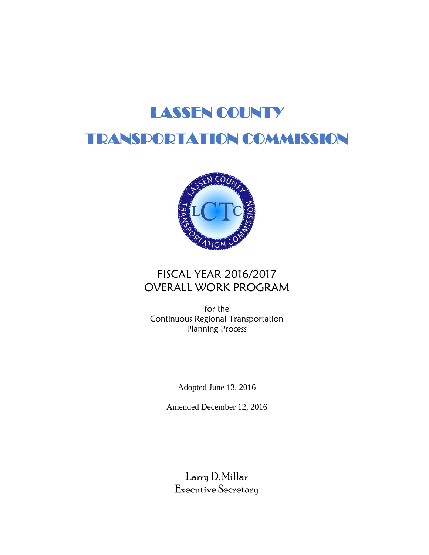# LASSEN COUNTY

# TRANSPORTATION COMMISSION



# FISCAL YEAR 2016/2017 OVERALL WORK PROGRAM

for the Continuous Regional Transportation Planning Process

Adopted June 13, 2016

Amended December 12, 2016

Larry D. Millar Executive Secretary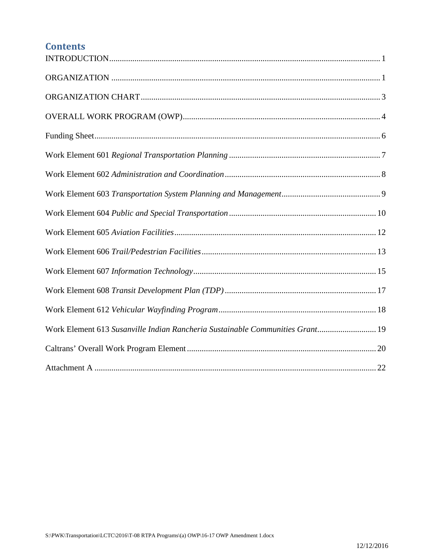# **Contents**

| Work Element 613 Susanville Indian Rancheria Sustainable Communities Grant 19 |
|-------------------------------------------------------------------------------|
|                                                                               |
|                                                                               |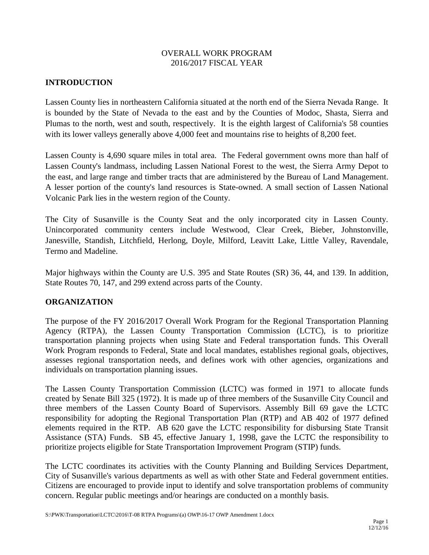#### OVERALL WORK PROGRAM 2016/2017 FISCAL YEAR

# <span id="page-3-0"></span>**INTRODUCTION**

Lassen County lies in northeastern California situated at the north end of the Sierra Nevada Range. It is bounded by the State of Nevada to the east and by the Counties of Modoc, Shasta, Sierra and Plumas to the north, west and south, respectively. It is the eighth largest of California's 58 counties with its lower valleys generally above 4,000 feet and mountains rise to heights of 8,200 feet.

Lassen County is 4,690 square miles in total area. The Federal government owns more than half of Lassen County's landmass, including Lassen National Forest to the west, the Sierra Army Depot to the east, and large range and timber tracts that are administered by the Bureau of Land Management. A lesser portion of the county's land resources is State-owned. A small section of Lassen National Volcanic Park lies in the western region of the County.

The City of Susanville is the County Seat and the only incorporated city in Lassen County. Unincorporated community centers include Westwood, Clear Creek, Bieber, Johnstonville, Janesville, Standish, Litchfield, Herlong, Doyle, Milford, Leavitt Lake, Little Valley, Ravendale, Termo and Madeline.

Major highways within the County are U.S. 395 and State Routes (SR) 36, 44, and 139. In addition, State Routes 70, 147, and 299 extend across parts of the County.

# <span id="page-3-1"></span>**ORGANIZATION**

The purpose of the FY 2016/2017 Overall Work Program for the Regional Transportation Planning Agency (RTPA), the Lassen County Transportation Commission (LCTC), is to prioritize transportation planning projects when using State and Federal transportation funds. This Overall Work Program responds to Federal, State and local mandates, establishes regional goals, objectives, assesses regional transportation needs, and defines work with other agencies, organizations and individuals on transportation planning issues.

The Lassen County Transportation Commission (LCTC) was formed in 1971 to allocate funds created by Senate Bill 325 (1972). It is made up of three members of the Susanville City Council and three members of the Lassen County Board of Supervisors. Assembly Bill 69 gave the LCTC responsibility for adopting the Regional Transportation Plan (RTP) and AB 402 of 1977 defined elements required in the RTP. AB 620 gave the LCTC responsibility for disbursing State Transit Assistance (STA) Funds. SB 45, effective January 1, 1998, gave the LCTC the responsibility to prioritize projects eligible for State Transportation Improvement Program (STIP) funds.

The LCTC coordinates its activities with the County Planning and Building Services Department, City of Susanville's various departments as well as with other State and Federal government entities. Citizens are encouraged to provide input to identify and solve transportation problems of community concern. Regular public meetings and/or hearings are conducted on a monthly basis.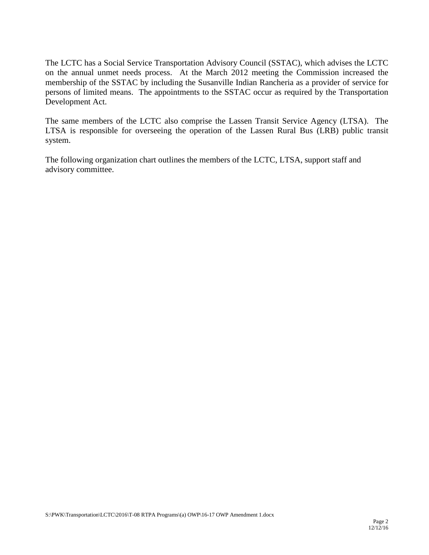The LCTC has a Social Service Transportation Advisory Council (SSTAC), which advises the LCTC on the annual unmet needs process. At the March 2012 meeting the Commission increased the membership of the SSTAC by including the Susanville Indian Rancheria as a provider of service for persons of limited means. The appointments to the SSTAC occur as required by the Transportation Development Act.

The same members of the LCTC also comprise the Lassen Transit Service Agency (LTSA). The LTSA is responsible for overseeing the operation of the Lassen Rural Bus (LRB) public transit system.

The following organization chart outlines the members of the LCTC, LTSA, support staff and advisory committee.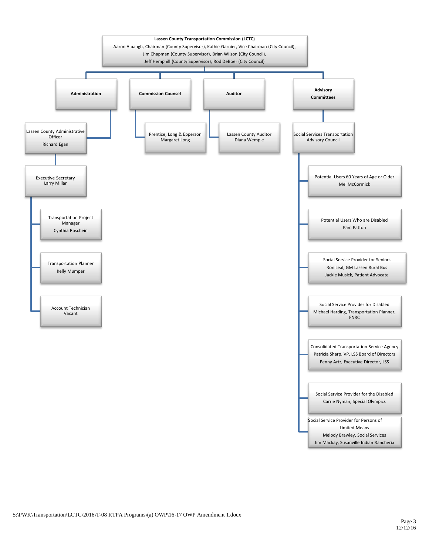<span id="page-5-0"></span>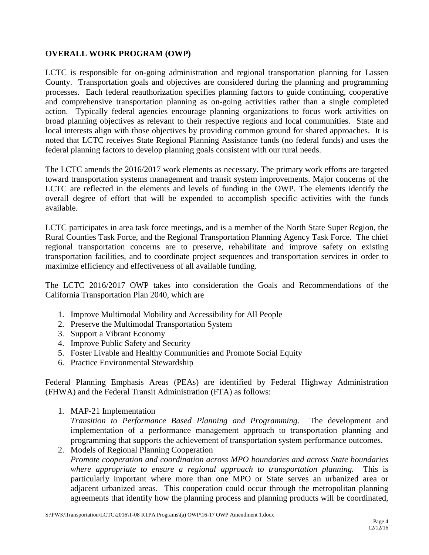# <span id="page-6-0"></span>**OVERALL WORK PROGRAM (OWP)**

LCTC is responsible for on-going administration and regional transportation planning for Lassen County. Transportation goals and objectives are considered during the planning and programming processes. Each federal reauthorization specifies planning factors to guide continuing, cooperative and comprehensive transportation planning as on-going activities rather than a single completed action. Typically federal agencies encourage planning organizations to focus work activities on broad planning objectives as relevant to their respective regions and local communities. State and local interests align with those objectives by providing common ground for shared approaches. It is noted that LCTC receives State Regional Planning Assistance funds (no federal funds) and uses the federal planning factors to develop planning goals consistent with our rural needs.

The LCTC amends the 2016/2017 work elements as necessary. The primary work efforts are targeted toward transportation systems management and transit system improvements. Major concerns of the LCTC are reflected in the elements and levels of funding in the OWP. The elements identify the overall degree of effort that will be expended to accomplish specific activities with the funds available.

LCTC participates in area task force meetings, and is a member of the North State Super Region, the Rural Counties Task Force, and the Regional Transportation Planning Agency Task Force. The chief regional transportation concerns are to preserve, rehabilitate and improve safety on existing transportation facilities, and to coordinate project sequences and transportation services in order to maximize efficiency and effectiveness of all available funding.

The LCTC 2016/2017 OWP takes into consideration the Goals and Recommendations of the California Transportation Plan 2040, which are

- 1. Improve Multimodal Mobility and Accessibility for All People
- 2. Preserve the Multimodal Transportation System
- 3. Support a Vibrant Economy
- 4. Improve Public Safety and Security
- 5. Foster Livable and Healthy Communities and Promote Social Equity
- 6. Practice Environmental Stewardship

Federal Planning Emphasis Areas (PEAs) are identified by Federal Highway Administration (FHWA) and the Federal Transit Administration (FTA) as follows:

1. MAP-21 Implementation

*Transition to Performance Based Planning and Programming*. The development and implementation of a performance management approach to transportation planning and programming that supports the achievement of transportation system performance outcomes.

2. Models of Regional Planning Cooperation *Promote cooperation and coordination across MPO boundaries and across State boundaries where appropriate to ensure a regional approach to transportation planning.* This is particularly important where more than one MPO or State serves an urbanized area or adjacent urbanized areas. This cooperation could occur through the metropolitan planning agreements that identify how the planning process and planning products will be coordinated,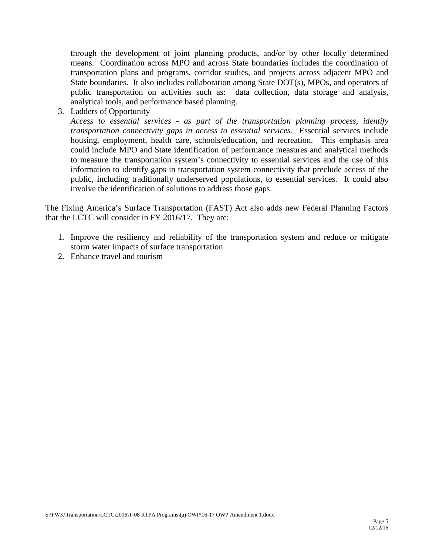through the development of joint planning products, and/or by other locally determined means. Coordination across MPO and across State boundaries includes the coordination of transportation plans and programs, corridor studies, and projects across adjacent MPO and State boundaries. It also includes collaboration among State DOT(s), MPOs, and operators of public transportation on activities such as: data collection, data storage and analysis, analytical tools, and performance based planning.

3. Ladders of Opportunity

*Access to essential services - as part of the transportation planning process, identify transportation connectivity gaps in access to essential services.* Essential services include housing, employment, health care, schools/education, and recreation. This emphasis area could include MPO and State identification of performance measures and analytical methods to measure the transportation system's connectivity to essential services and the use of this information to identify gaps in transportation system connectivity that preclude access of the public, including traditionally underserved populations, to essential services. It could also involve the identification of solutions to address those gaps.

The Fixing America's Surface Transportation (FAST) Act also adds new Federal Planning Factors that the LCTC will consider in FY 2016/17. They are:

- 1. Improve the resiliency and reliability of the transportation system and reduce or mitigate storm water impacts of surface transportation
- 2. Enhance travel and tourism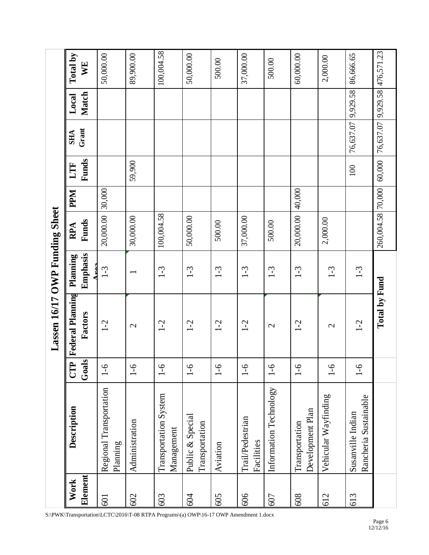<span id="page-8-0"></span>

| Work    | Description                                | E                   | Lassen 16/17 OWP Funding Sheet<br><b>Federal Planning</b> | Planning         | RPA               | <b>PPM</b> | LTF    | <b>SHA</b>         | Local        | Total by   |
|---------|--------------------------------------------|---------------------|-----------------------------------------------------------|------------------|-------------------|------------|--------|--------------------|--------------|------------|
| Element |                                            | $\Omega$<br>$G$ oal | Factors                                                   | Emphasis<br>Aros | Funds             |            | Funds  | Grant              | <b>Match</b> | WE         |
| 601     | Regional Transportation<br>Planning        | $1 - 6$             | $1 - 2$                                                   | $1 - 3$          | 20,000.00         | 30,000     |        |                    |              | 50,000.00  |
| 602     | Administration                             | $-6$                | $\mathcal{L}$                                             |                  | 30,000.00         |            | 59,900 |                    |              | 89,900.00  |
| 603     | Transportation System<br>Management        | $-6$                | $1-2$                                                     | $1-3$            | 100,004.58        |            |        |                    |              | 100,004.58 |
| 604     | Public & Special<br>Transportation         | $\overline{0}$ -1   | $1-2$                                                     | $1-3$            | 50,000.00         |            |        |                    |              | 50,000.00  |
| 605     | Aviation                                   | $-6$                | $1-2$                                                     | $1-3$            | 500.00            |            |        |                    |              | 500.00     |
| 606     | Trail/Pedestrian<br>Facilities             | $-6$                | $1-2$                                                     | $1-3$            | 37,000.00         |            |        |                    |              | 37,000.00  |
| 607     | Information Technology                     | $1 - 6$             | $\mathbf{C}$                                              | $1-3$            | 500.00            |            |        |                    |              | 500.00     |
| 608     | Development Plan<br>Transportation         | $1 - 6$             | $1-2$                                                     | $1 - 3$          | 20,000.00         | 40,000     |        |                    |              | 60,000.00  |
| 612     | Vehicular Wayfinding                       | $\overline{0}$ -1   | $\mathbf{\Omega}$                                         | $1-3$            | 2,000.00          |            |        |                    |              | 2,000.00   |
| 613     | Rancheria Sustainable<br>Susanville Indian | $-6$                | $1-2$                                                     | $1 - 3$          |                   |            | 100    | 76,637.07 9,929.58 |              | 86,666.65  |
|         |                                            |                     | Total by Fund                                             |                  | 260,004.58 70,000 |            | 60,000 | 76,637.07 9,929.58 |              | 476,571.23 |

S:\PWK\Transportation\LCTC\2016\T-08 RTPA Programs\(a) OWP\16-17 OWP Amendment 1.docx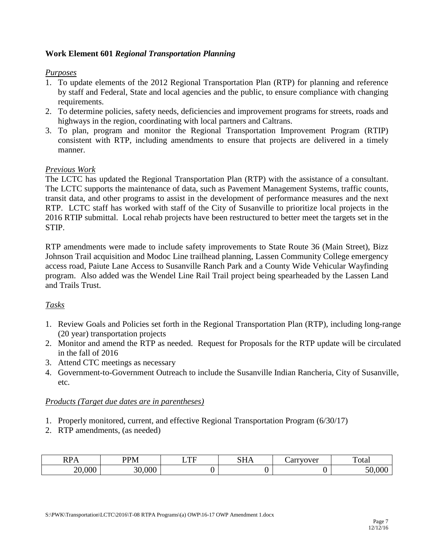# <span id="page-9-0"></span>**Work Element 601** *Regional Transportation Planning*

#### *Purposes*

- 1. To update elements of the 2012 Regional Transportation Plan (RTP) for planning and reference by staff and Federal, State and local agencies and the public, to ensure compliance with changing requirements.
- 2. To determine policies, safety needs, deficiencies and improvement programs for streets, roads and highways in the region, coordinating with local partners and Caltrans.
- 3. To plan, program and monitor the Regional Transportation Improvement Program (RTIP) consistent with RTP, including amendments to ensure that projects are delivered in a timely manner.

# *Previous Work*

The LCTC has updated the Regional Transportation Plan (RTP) with the assistance of a consultant. The LCTC supports the maintenance of data, such as Pavement Management Systems, traffic counts, transit data, and other programs to assist in the development of performance measures and the next RTP. LCTC staff has worked with staff of the City of Susanville to prioritize local projects in the 2016 RTIP submittal. Local rehab projects have been restructured to better meet the targets set in the STIP.

RTP amendments were made to include safety improvements to State Route 36 (Main Street), Bizz Johnson Trail acquisition and Modoc Line trailhead planning, Lassen Community College emergency access road, Paiute Lane Access to Susanville Ranch Park and a County Wide Vehicular Wayfinding program. Also added was the Wendel Line Rail Trail project being spearheaded by the Lassen Land and Trails Trust.

# *Tasks*

- 1. Review Goals and Policies set forth in the Regional Transportation Plan (RTP), including long-range (20 year) transportation projects
- 2. Monitor and amend the RTP as needed. Request for Proposals for the RTP update will be circulated in the fall of 2016
- 3. Attend CTC meetings as necessary
- 4. Government-to-Government Outreach to include the Susanville Indian Rancheria, City of Susanville, etc.

- 1. Properly monitored, current, and effective Regional Transportation Program (6/30/17)
- 2. RTP amendments, (as needed)

| $\mathbf{D} \mathbf{D} \mathbf{A}$<br>L<br>.<br>. . | <b>DD</b><br>PN.          | $\blacksquare$ | $\sim$ T T | arryover | m<br>' otal |
|-----------------------------------------------------|---------------------------|----------------|------------|----------|-------------|
| $\Omega$<br>~^<br>JUU<br>∼                          | $\Omega$<br>$\cap$<br>vvu |                |            |          | .           |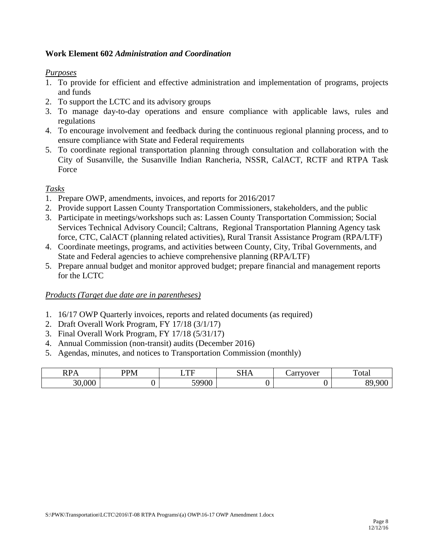# <span id="page-10-0"></span>**Work Element 602** *Administration and Coordination*

# *Purposes*

- 1. To provide for efficient and effective administration and implementation of programs, projects and funds
- 2. To support the LCTC and its advisory groups
- 3. To manage day-to-day operations and ensure compliance with applicable laws, rules and regulations
- 4. To encourage involvement and feedback during the continuous regional planning process, and to ensure compliance with State and Federal requirements
- 5. To coordinate regional transportation planning through consultation and collaboration with the City of Susanville, the Susanville Indian Rancheria, NSSR, CalACT, RCTF and RTPA Task Force

# *Tasks*

- 1. Prepare OWP, amendments, invoices, and reports for 2016/2017
- 2. Provide support Lassen County Transportation Commissioners, stakeholders, and the public
- 3. Participate in meetings/workshops such as: Lassen County Transportation Commission; Social Services Technical Advisory Council; Caltrans, Regional Transportation Planning Agency task force, CTC, CalACT (planning related activities), Rural Transit Assistance Program (RPA/LTF)
- 4. Coordinate meetings, programs, and activities between County, City, Tribal Governments, and State and Federal agencies to achieve comprehensive planning (RPA/LTF)
- 5. Prepare annual budget and monitor approved budget; prepare financial and management reports for the LCTC

- 1. 16/17 OWP Quarterly invoices, reports and related documents (as required)
- 2. Draft Overall Work Program, FY 17/18 (3/1/17)
- 3. Final Overall Work Program, FY 17/18 (5/31/17)
- 4. Annual Commission (non-transit) audits (December 2016)
- 5. Agendas, minutes, and notices to Transportation Commission (monthly)

| <b>DD</b><br>. .<br>171 17 | <b>PPM</b> | $\blacksquare$ | <b>CIT</b> | arryover<br>$^{\prime}$ UT<br>๛๛ | –<br>otal |
|----------------------------|------------|----------------|------------|----------------------------------|-----------|
| 000<br>⌒⌒                  |            | 50000          |            |                                  | or        |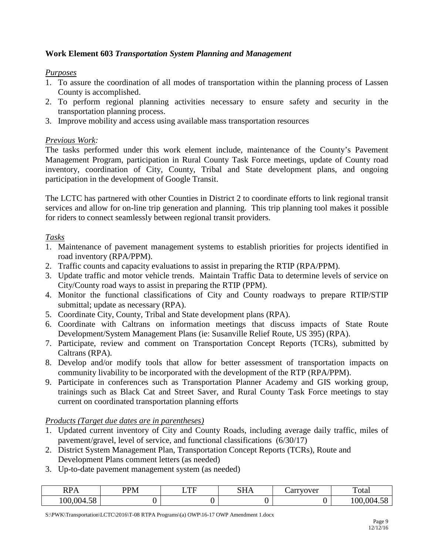# <span id="page-11-0"></span>**Work Element 603** *Transportation System Planning and Management*

#### *Purposes*

- 1. To assure the coordination of all modes of transportation within the planning process of Lassen County is accomplished.
- 2. To perform regional planning activities necessary to ensure safety and security in the transportation planning process.
- 3. Improve mobility and access using available mass transportation resources

# *Previous Work:*

The tasks performed under this work element include, maintenance of the County's Pavement Management Program, participation in Rural County Task Force meetings, update of County road inventory, coordination of City, County, Tribal and State development plans, and ongoing participation in the development of Google Transit.

The LCTC has partnered with other Counties in District 2 to coordinate efforts to link regional transit services and allow for on-line trip generation and planning. This trip planning tool makes it possible for riders to connect seamlessly between regional transit providers.

# *Tasks*

- 1. Maintenance of pavement management systems to establish priorities for projects identified in road inventory (RPA/PPM).
- 2. Traffic counts and capacity evaluations to assist in preparing the RTIP (RPA/PPM).
- 3. Update traffic and motor vehicle trends. Maintain Traffic Data to determine levels of service on City/County road ways to assist in preparing the RTIP (PPM).
- 4. Monitor the functional classifications of City and County roadways to prepare RTIP/STIP submittal; update as necessary (RPA).
- 5. Coordinate City, County, Tribal and State development plans (RPA).
- 6. Coordinate with Caltrans on information meetings that discuss impacts of State Route Development/System Management Plans (ie: Susanville Relief Route, US 395) (RPA).
- 7. Participate, review and comment on Transportation Concept Reports (TCRs), submitted by Caltrans (RPA).
- 8. Develop and/or modify tools that allow for better assessment of transportation impacts on community livability to be incorporated with the development of the RTP (RPA/PPM).
- 9. Participate in conferences such as Transportation Planner Academy and GIS working group, trainings such as Black Cat and Street Saver, and Rural County Task Force meetings to stay current on coordinated transportation planning efforts

#### *Products (Target due dates are in parentheses)*

- 1. Updated current inventory of City and County Roads, including average daily traffic, miles of pavement/gravel, level of service, and functional classifications (6/30/17)
- 2. District System Management Plan, Transportation Concept Reports (TCRs), Route and Development Plans comment letters (as needed)
- 3. Up-to-date pavement management system (as needed)

| n n<br><b>RPA</b>     | DD <sub>M</sub> | mп.<br><u>.</u> | CTT | arryover | –<br>otal                                                  |
|-----------------------|-----------------|-----------------|-----|----------|------------------------------------------------------------|
| FQ<br>$\Omega$<br>0د. |                 |                 | ັ   |          | $\sim$<br>$\sim$ $\sim$ $\sim$<br>،00<br>$($ $)($<br>r. jo |

S:\PWK\Transportation\LCTC\2016\T-08 RTPA Programs\(a) OWP\16-17 OWP Amendment 1.docx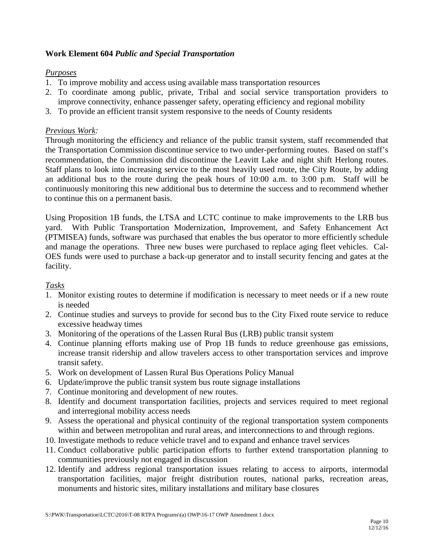# <span id="page-12-0"></span>**Work Element 604** *Public and Special Transportation*

#### *Purposes*

- 1. To improve mobility and access using available mass transportation resources
- 2. To coordinate among public, private, Tribal and social service transportation providers to improve connectivity, enhance passenger safety, operating efficiency and regional mobility
- 3. To provide an efficient transit system responsive to the needs of County residents

#### *Previous Work:*

Through monitoring the efficiency and reliance of the public transit system, staff recommended that the Transportation Commission discontinue service to two under-performing routes. Based on staff's recommendation, the Commission did discontinue the Leavitt Lake and night shift Herlong routes. Staff plans to look into increasing service to the most heavily used route, the City Route, by adding an additional bus to the route during the peak hours of 10:00 a.m. to 3:00 p.m. Staff will be continuously monitoring this new additional bus to determine the success and to recommend whether to continue this on a permanent basis.

Using Proposition 1B funds, the LTSA and LCTC continue to make improvements to the LRB bus yard. With Public Transportation Modernization, Improvement, and Safety Enhancement Act (PTMISEA) funds, software was purchased that enables the bus operator to more efficiently schedule and manage the operations. Three new buses were purchased to replace aging fleet vehicles. Cal-OES funds were used to purchase a back-up generator and to install security fencing and gates at the facility.

*Tasks*

- 1. Monitor existing routes to determine if modification is necessary to meet needs or if a new route is needed
- 2. Continue studies and surveys to provide for second bus to the City Fixed route service to reduce excessive headway times
- 3. Monitoring of the operations of the Lassen Rural Bus (LRB) public transit system
- 4. Continue planning efforts making use of Prop 1B funds to reduce greenhouse gas emissions, increase transit ridership and allow travelers access to other transportation services and improve transit safety.
- 5. Work on development of Lassen Rural Bus Operations Policy Manual
- 6. Update/improve the public transit system bus route signage installations
- 7. Continue monitoring and development of new routes.
- 8. Identify and document transportation facilities, projects and services required to meet regional and interregional mobility access needs
- 9. Assess the operational and physical continuity of the regional transportation system components within and between metropolitan and rural areas, and interconnections to and through regions.
- 10. Investigate methods to reduce vehicle travel and to expand and enhance travel services
- 11. Conduct collaborative public participation efforts to further extend transportation planning to communities previously not engaged in discussion
- 12. Identify and address regional transportation issues relating to access to airports, intermodal transportation facilities, major freight distribution routes, national parks, recreation areas, monuments and historic sites, military installations and military base closures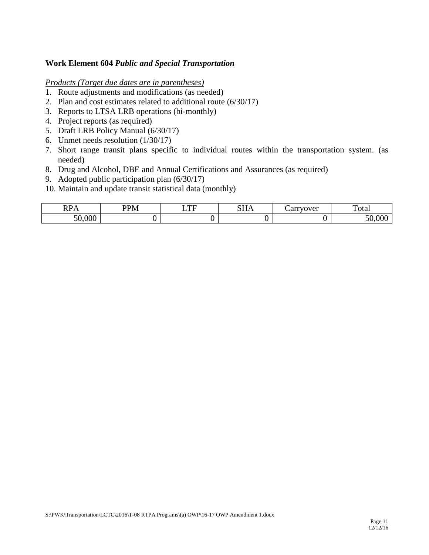#### **Work Element 604** *Public and Special Transportation*

- 1. Route adjustments and modifications (as needed)
- 2. Plan and cost estimates related to additional route (6/30/17)
- 3. Reports to LTSA LRB operations (bi-monthly)
- 4. Project reports (as required)
- 5. Draft LRB Policy Manual (6/30/17)
- 6. Unmet needs resolution (1/30/17)
- 7. Short range transit plans specific to individual routes within the transportation system. (as needed)
- 8. Drug and Alcohol, DBE and Annual Certifications and Assurances (as required)
- 9. Adopted public participation plan (6/30/17)
- 10. Maintain and update transit statistical data (monthly)

| 111 <i>1</i> 1       | P(X)<br>*** | $\blacksquare$<br>-<br>. . | $\sim$ T T<br>0111 | $\sim$ $\sim$ $\sim$ $\sim$ $\sim$ $\sim$ $\sim$<br>ືີ<br>– un | –<br>`otal |
|----------------------|-------------|----------------------------|--------------------|----------------------------------------------------------------|------------|
| 000<br>$\sim$ $\sim$ |             |                            |                    |                                                                |            |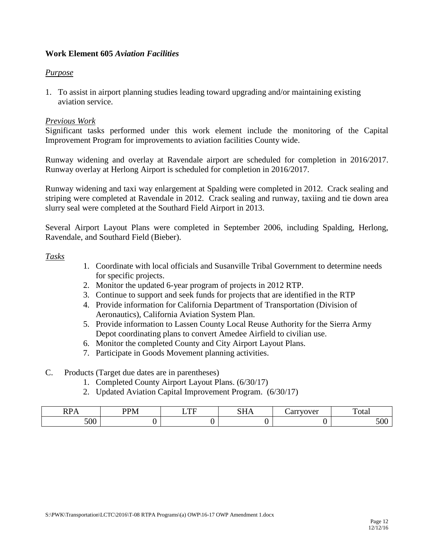# <span id="page-14-0"></span>**Work Element 605** *Aviation Facilities*

#### *Purpose*

1. To assist in airport planning studies leading toward upgrading and/or maintaining existing aviation service.

#### *Previous Work*

Significant tasks performed under this work element include the monitoring of the Capital Improvement Program for improvements to aviation facilities County wide.

Runway widening and overlay at Ravendale airport are scheduled for completion in 2016/2017. Runway overlay at Herlong Airport is scheduled for completion in 2016/2017.

Runway widening and taxi way enlargement at Spalding were completed in 2012. Crack sealing and striping were completed at Ravendale in 2012. Crack sealing and runway, taxiing and tie down area slurry seal were completed at the Southard Field Airport in 2013.

Several Airport Layout Plans were completed in September 2006, including Spalding, Herlong, Ravendale, and Southard Field (Bieber).

#### *Tasks*

- 1. Coordinate with local officials and Susanville Tribal Government to determine needs for specific projects.
- 2. Monitor the updated 6-year program of projects in 2012 RTP.
- 3. Continue to support and seek funds for projects that are identified in the RTP
- 4. Provide information for California Department of Transportation (Division of Aeronautics), California Aviation System Plan.
- 5. Provide information to Lassen County Local Reuse Authority for the Sierra Army Depot coordinating plans to convert Amedee Airfield to civilian use.
- 6. Monitor the completed County and City Airport Layout Plans.
- 7. Participate in Goods Movement planning activities.
- C. Products (Target due dates are in parentheses)
	- 1. Completed County Airport Layout Plans. (6/30/17)
	- 2. Updated Aviation Capital Improvement Program. (6/30/17)

| n n<br>.,<br>111 1 1 | <b>DDM</b><br>v<br>*** | $\blacksquare$<br>. д | $\sim$ T T<br>-<br><b>DITT</b> | arryover<br>ັບ | —<br>otal   |
|----------------------|------------------------|-----------------------|--------------------------------|----------------|-------------|
| 500                  |                        |                       |                                |                | - -<br>JU U |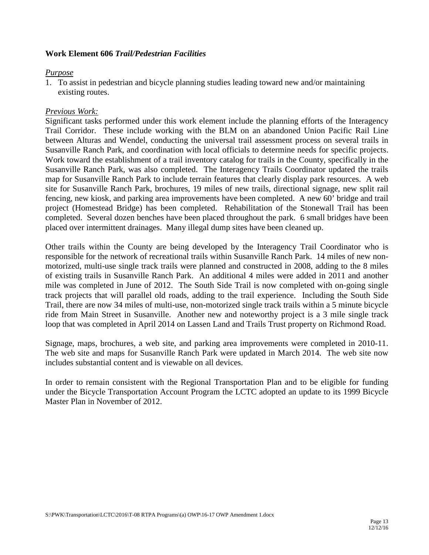# <span id="page-15-0"></span>**Work Element 606** *Trail/Pedestrian Facilities*

#### *Purpose*

1. To assist in pedestrian and bicycle planning studies leading toward new and/or maintaining existing routes.

# *Previous Work:*

Significant tasks performed under this work element include the planning efforts of the Interagency Trail Corridor. These include working with the BLM on an abandoned Union Pacific Rail Line between Alturas and Wendel, conducting the universal trail assessment process on several trails in Susanville Ranch Park, and coordination with local officials to determine needs for specific projects. Work toward the establishment of a trail inventory catalog for trails in the County, specifically in the Susanville Ranch Park, was also completed. The Interagency Trails Coordinator updated the trails map for Susanville Ranch Park to include terrain features that clearly display park resources. A web site for Susanville Ranch Park, brochures, 19 miles of new trails, directional signage, new split rail fencing, new kiosk, and parking area improvements have been completed. A new 60' bridge and trail project (Homestead Bridge) has been completed. Rehabilitation of the Stonewall Trail has been completed. Several dozen benches have been placed throughout the park. 6 small bridges have been placed over intermittent drainages. Many illegal dump sites have been cleaned up.

Other trails within the County are being developed by the Interagency Trail Coordinator who is responsible for the network of recreational trails within Susanville Ranch Park. 14 miles of new nonmotorized, multi-use single track trails were planned and constructed in 2008, adding to the 8 miles of existing trails in Susanville Ranch Park. An additional 4 miles were added in 2011 and another mile was completed in June of 2012. The South Side Trail is now completed with on-going single track projects that will parallel old roads, adding to the trail experience. Including the South Side Trail, there are now 34 miles of multi-use, non-motorized single track trails within a 5 minute bicycle ride from Main Street in Susanville. Another new and noteworthy project is a 3 mile single track loop that was completed in April 2014 on Lassen Land and Trails Trust property on Richmond Road.

Signage, maps, brochures, a web site, and parking area improvements were completed in 2010-11. The web site and maps for Susanville Ranch Park were updated in March 2014. The web site now includes substantial content and is viewable on all devices.

In order to remain consistent with the Regional Transportation Plan and to be eligible for funding under the Bicycle Transportation Account Program the LCTC adopted an update to its 1999 Bicycle Master Plan in November of 2012.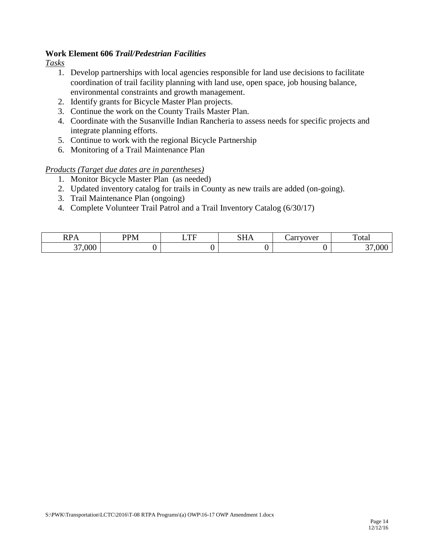# **Work Element 606** *Trail/Pedestrian Facilities*

*Tasks*

- 1. Develop partnerships with local agencies responsible for land use decisions to facilitate coordination of trail facility planning with land use, open space, job housing balance, environmental constraints and growth management.
- 2. Identify grants for Bicycle Master Plan projects.
- 3. Continue the work on the County Trails Master Plan.
- 4. Coordinate with the Susanville Indian Rancheria to assess needs for specific projects and integrate planning efforts.
- 5. Continue to work with the regional Bicycle Partnership
- 6. Monitoring of a Trail Maintenance Plan

- 1. Monitor Bicycle Master Plan (as needed)
- 2. Updated inventory catalog for trails in County as new trails are added (on-going).
- 3. Trail Maintenance Plan (ongoing)
- 4. Complete Volunteer Trail Patrol and a Trail Inventory Catalog (6/30/17)

| 111 <i>1</i> 1 | $P_{\text{max}}$<br>'N/I<br>*** | $\blacksquare$<br>-<br>. . | <b>CIT</b><br>$\mathbf{v}$ | arryover<br>๛๛ | --<br>otal     |
|----------------|---------------------------------|----------------------------|----------------------------|----------------|----------------|
| 000,<br>$\sim$ |                                 |                            | ີ                          |                | $\Omega$<br>ww |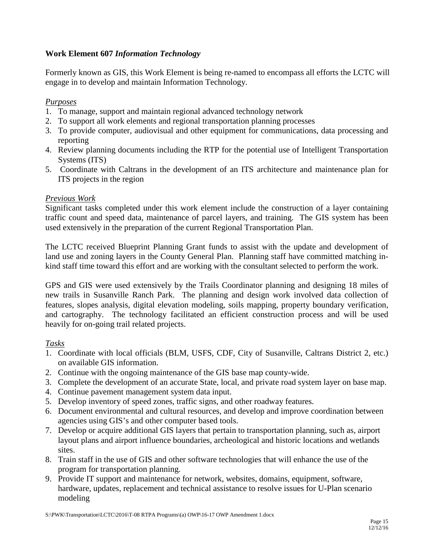# <span id="page-17-0"></span>**Work Element 607** *Information Technology*

Formerly known as GIS, this Work Element is being re-named to encompass all efforts the LCTC will engage in to develop and maintain Information Technology.

# *Purposes*

- 1. To manage, support and maintain regional advanced technology network
- 2. To support all work elements and regional transportation planning processes
- 3. To provide computer, audiovisual and other equipment for communications, data processing and reporting
- 4. Review planning documents including the RTP for the potential use of Intelligent Transportation Systems (ITS)
- 5. Coordinate with Caltrans in the development of an ITS architecture and maintenance plan for ITS projects in the region

# *Previous Work*

Significant tasks completed under this work element include the construction of a layer containing traffic count and speed data, maintenance of parcel layers, and training. The GIS system has been used extensively in the preparation of the current Regional Transportation Plan.

The LCTC received Blueprint Planning Grant funds to assist with the update and development of land use and zoning layers in the County General Plan. Planning staff have committed matching inkind staff time toward this effort and are working with the consultant selected to perform the work.

GPS and GIS were used extensively by the Trails Coordinator planning and designing 18 miles of new trails in Susanville Ranch Park. The planning and design work involved data collection of features, slopes analysis, digital elevation modeling, soils mapping, property boundary verification, and cartography. The technology facilitated an efficient construction process and will be used heavily for on-going trail related projects.

# *Tasks*

- 1. Coordinate with local officials (BLM, USFS, CDF, City of Susanville, Caltrans District 2, etc.) on available GIS information.
- 2. Continue with the ongoing maintenance of the GIS base map county-wide.
- 3. Complete the development of an accurate State, local, and private road system layer on base map.
- 4. Continue pavement management system data input.
- 5. Develop inventory of speed zones, traffic signs, and other roadway features.
- 6. Document environmental and cultural resources, and develop and improve coordination between agencies using GIS's and other computer based tools.
- 7. Develop or acquire additional GIS layers that pertain to transportation planning, such as, airport layout plans and airport influence boundaries, archeological and historic locations and wetlands sites.
- 8. Train staff in the use of GIS and other software technologies that will enhance the use of the program for transportation planning.
- 9. Provide IT support and maintenance for network, websites, domains, equipment, software, hardware, updates, replacement and technical assistance to resolve issues for U-Plan scenario modeling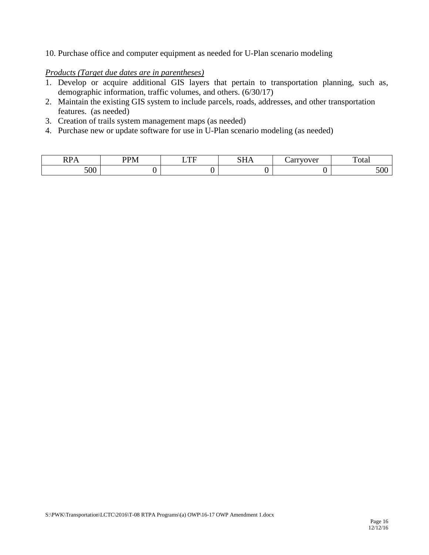10. Purchase office and computer equipment as needed for U-Plan scenario modeling

- 1. Develop or acquire additional GIS layers that pertain to transportation planning, such as, demographic information, traffic volumes, and others. (6/30/17)
- 2. Maintain the existing GIS system to include parcels, roads, addresses, and other transportation features. (as needed)
- 3. Creation of trails system management maps (as needed)
- 4. Purchase new or update software for use in U-Plan scenario modeling (as needed)

| $\mathbf{r}$<br>. .<br>. | י החת | $T^{\prime}$ | $\sim$ $\sim$ $\sim$ | $0$ **** $0 \times 10$ ** | <b>__</b><br>otal |
|--------------------------|-------|--------------|----------------------|---------------------------|-------------------|
| 700<br>JUU               |       |              |                      |                           | JUU               |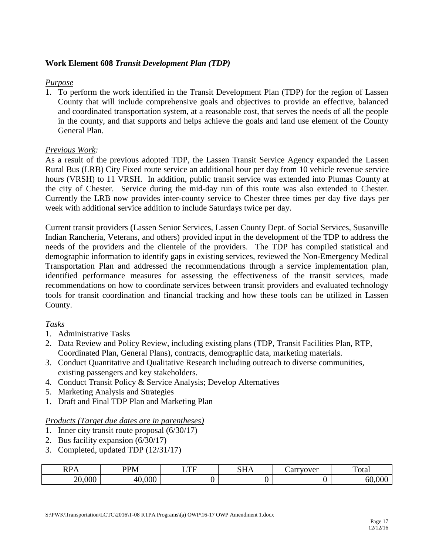# <span id="page-19-0"></span>**Work Element 608** *Transit Development Plan (TDP)*

#### *Purpose*

1. To perform the work identified in the Transit Development Plan (TDP) for the region of Lassen County that will include comprehensive goals and objectives to provide an effective, balanced and coordinated transportation system, at a reasonable cost, that serves the needs of all the people in the county, and that supports and helps achieve the goals and land use element of the County General Plan.

#### *Previous Work:*

As a result of the previous adopted TDP, the Lassen Transit Service Agency expanded the Lassen Rural Bus (LRB) City Fixed route service an additional hour per day from 10 vehicle revenue service hours (VRSH) to 11 VRSH. In addition, public transit service was extended into Plumas County at the city of Chester. Service during the mid-day run of this route was also extended to Chester. Currently the LRB now provides inter-county service to Chester three times per day five days per week with additional service addition to include Saturdays twice per day.

Current transit providers (Lassen Senior Services, Lassen County Dept. of Social Services, Susanville Indian Rancheria, Veterans, and others) provided input in the development of the TDP to address the needs of the providers and the clientele of the providers. The TDP has compiled statistical and demographic information to identify gaps in existing services, reviewed the Non-Emergency Medical Transportation Plan and addressed the recommendations through a service implementation plan, identified performance measures for assessing the effectiveness of the transit services, made recommendations on how to coordinate services between transit providers and evaluated technology tools for transit coordination and financial tracking and how these tools can be utilized in Lassen County.

#### *Tasks*

- 1. Administrative Tasks
- 2. Data Review and Policy Review, including existing plans (TDP, Transit Facilities Plan, RTP, Coordinated Plan, General Plans), contracts*,* demographic data, marketing materials.
- 3. Conduct Quantitative and Qualitative Research including outreach to diverse communities, existing passengers and key stakeholders.
- 4. Conduct Transit Policy & Service Analysis; Develop Alternatives
- 5. Marketing Analysis and Strategies
- 1. Draft and Final TDP Plan and Marketing Plan

- 1. Inner city transit route proposal (6/30/17)
- 2. Bus facility expansion (6/30/17)
- 3. Completed, updated TDP (12/31/17)

| n n<br>◡<br>17T 1 T<br>$\mathbf{A}$ | $\mathbf{P} \mathbf{D} \mathbf{A}$     | $\blacksquare$ | <b>CIT</b> | <b>WITOTTOM</b><br>$\cdots$<br>"C⊾<br>$\cdot$ | ᠇᠇<br>'otar                |
|-------------------------------------|----------------------------------------|----------------|------------|-----------------------------------------------|----------------------------|
| $\Omega$<br>⌒⌒                      | $\Omega$<br>$\overline{ }$<br>$\Delta$ |                |            |                                               | $\sim$ $\sim$ $\sim$<br>hL |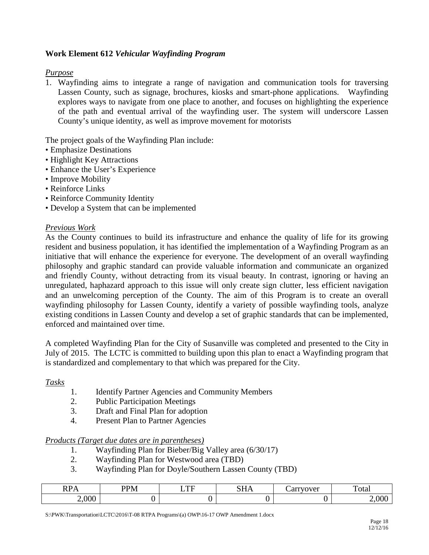# <span id="page-20-0"></span>**Work Element 612** *Vehicular Wayfinding Program*

# *Purpose*

1. Wayfinding aims to integrate a range of navigation and communication tools for traversing Lassen County, such as signage, brochures, kiosks and smart-phone applications. Wayfinding explores ways to navigate from one place to another, and focuses on highlighting the experience of the path and eventual arrival of the wayfinding user. The system will underscore Lassen County's unique identity, as well as improve movement for motorists

The project goals of the Wayfinding Plan include:

- Emphasize Destinations
- Highlight Key Attractions
- Enhance the User's Experience
- Improve Mobility
- Reinforce Links
- Reinforce Community Identity
- Develop a System that can be implemented

#### *Previous Work*

As the County continues to build its infrastructure and enhance the quality of life for its growing resident and business population, it has identified the implementation of a Wayfinding Program as an initiative that will enhance the experience for everyone. The development of an overall wayfinding philosophy and graphic standard can provide valuable information and communicate an organized and friendly County, without detracting from its visual beauty. In contrast, ignoring or having an unregulated, haphazard approach to this issue will only create sign clutter, less efficient navigation and an unwelcoming perception of the County. The aim of this Program is to create an overall wayfinding philosophy for Lassen County, identify a variety of possible wayfinding tools, analyze existing conditions in Lassen County and develop a set of graphic standards that can be implemented, enforced and maintained over time.

A completed Wayfinding Plan for the City of Susanville was completed and presented to the City in July of 2015. The LCTC is committed to building upon this plan to enact a Wayfinding program that is standardized and complementary to that which was prepared for the City.

*Tasks*

- 1. Identify Partner Agencies and Community Members
- 2. Public Participation Meetings
- 3. Draft and Final Plan for adoption
- 4. Present Plan to Partner Agencies

#### *Products (Target due dates are in parentheses)*

- 1. Wayfinding Plan for Bieber/Big Valley area (6/30/17)
- 2. Wayfinding Plan for Westwood area (TBD)
- 3. Wayfinding Plan for Doyle/Southern Lassen County (TBD)

| DD<br>. .<br>. | DDMA | TTT<br>. . | $\sim$ $\sim$ $\sim$ | $\alpha$<br>◡ | otal     |
|----------------|------|------------|----------------------|---------------|----------|
| 2,000          |      |            |                      |               | <u>.</u> |

S:\PWK\Transportation\LCTC\2016\T-08 RTPA Programs\(a) OWP\16-17 OWP Amendment 1.docx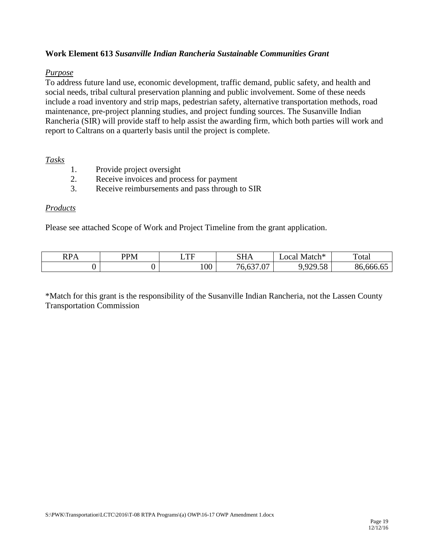# <span id="page-21-0"></span>**Work Element 613** *Susanville Indian Rancheria Sustainable Communities Grant*

#### *Purpose*

To address future land use, economic development, traffic demand, public safety, and health and social needs, tribal cultural preservation planning and public involvement. Some of these needs include a road inventory and strip maps, pedestrian safety, alternative transportation methods, road maintenance, pre-project planning studies, and project funding sources. The Susanville Indian Rancheria (SIR) will provide staff to help assist the awarding firm, which both parties will work and report to Caltrans on a quarterly basis until the project is complete.

#### *Tasks*

- 1. Provide project oversight
- 2. Receive invoices and process for payment
- 3. Receive reimbursements and pass through to SIR

# *Products*

Please see attached Scope of Work and Project Timeline from the grant application.

| $\mathbf{D}\mathbf{D}\Lambda$<br>N A | <b>PPM</b> | mr  | CIT<br>-<br>ג זו ט                             | $\mathbf{r}$<br>Match*⊺<br>$\triangle$ OC <sup>2</sup>        | $\mathbf{r}$<br>rotal |
|--------------------------------------|------------|-----|------------------------------------------------|---------------------------------------------------------------|-----------------------|
|                                      |            | 100 | $\sim$<br>$\sim$<br>$\sim$<br>$\cdot$ . $\cup$ | $\Omega$<br>$E_{\rm O}$<br>129.38<br>$\overline{\phantom{a}}$ | - -<br>- 666.<br>οо.  |

\*Match for this grant is the responsibility of the Susanville Indian Rancheria, not the Lassen County Transportation Commission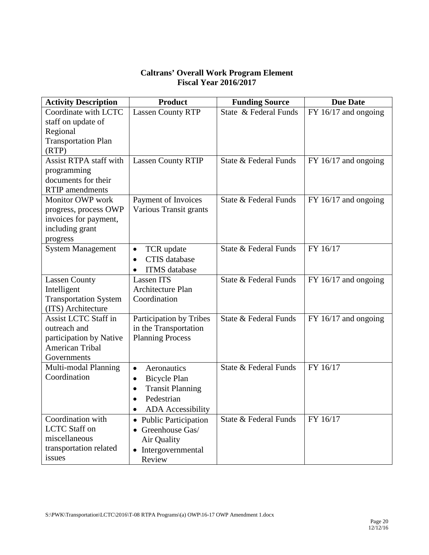# **Caltrans' Overall Work Program Element Fiscal Year 2016/2017**

<span id="page-22-0"></span>

| <b>Activity Description</b>                    | <b>Product</b>                       | <b>Funding Source</b> | <b>Due Date</b>        |
|------------------------------------------------|--------------------------------------|-----------------------|------------------------|
| Coordinate with LCTC                           | <b>Lassen County RTP</b>             | State & Federal Funds | $FY$ 16/17 and ongoing |
| staff on update of                             |                                      |                       |                        |
| Regional                                       |                                      |                       |                        |
| <b>Transportation Plan</b>                     |                                      |                       |                        |
| (RTP)                                          |                                      |                       |                        |
| <b>Assist RTPA staff with</b>                  | <b>Lassen County RTIP</b>            | State & Federal Funds | $FY$ 16/17 and ongoing |
| programming                                    |                                      |                       |                        |
| documents for their                            |                                      |                       |                        |
| <b>RTIP</b> amendments                         |                                      |                       |                        |
| Monitor OWP work                               | Payment of Invoices                  | State & Federal Funds | $FY$ 16/17 and ongoing |
| progress, process OWP<br>invoices for payment, | Various Transit grants               |                       |                        |
| including grant                                |                                      |                       |                        |
|                                                |                                      |                       |                        |
| progress<br><b>System Management</b>           | TCR update<br>$\bullet$              | State & Federal Funds | FY 16/17               |
|                                                | <b>CTIS</b> database<br>$\bullet$    |                       |                        |
|                                                | <b>ITMS</b> database                 |                       |                        |
| <b>Lassen County</b>                           | Lassen ITS                           | State & Federal Funds | FY 16/17 and ongoing   |
| Intelligent                                    | Architecture Plan                    |                       |                        |
| <b>Transportation System</b>                   | Coordination                         |                       |                        |
| (ITS) Architecture                             |                                      |                       |                        |
| <b>Assist LCTC Staff in</b>                    | Participation by Tribes              | State & Federal Funds | $FY$ 16/17 and ongoing |
| outreach and                                   | in the Transportation                |                       |                        |
| participation by Native                        | <b>Planning Process</b>              |                       |                        |
| American Tribal                                |                                      |                       |                        |
| Governments                                    |                                      |                       |                        |
| Multi-modal Planning                           | Aeronautics<br>$\bullet$             | State & Federal Funds | FY 16/17               |
| Coordination                                   | <b>Bicycle Plan</b><br>$\bullet$     |                       |                        |
|                                                | <b>Transit Planning</b><br>$\bullet$ |                       |                        |
|                                                | Pedestrian                           |                       |                        |
|                                                | <b>ADA</b> Accessibility             |                       |                        |
| Coordination with                              | • Public Participation               | State & Federal Funds | FY 16/17               |
| <b>LCTC</b> Staff on                           | • Greenhouse Gas/                    |                       |                        |
| miscellaneous                                  | Air Quality                          |                       |                        |
| transportation related                         | • Intergovernmental                  |                       |                        |
| issues                                         | Review                               |                       |                        |